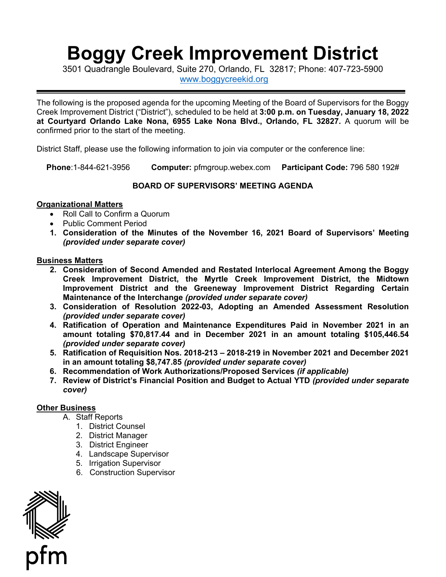# **Boggy Creek Improvement District**

3501 Quadrangle Boulevard, Suite 270, Orlando, FL 32817; Phone: 407-723-5900 [www.boggycreekid.org](http://www.boggycreekid.org/) 

 **at Courtyard Orlando Lake Nona, 6955 Lake Nona Blvd., Orlando, FL 32827.** A quorum will be The following is the proposed agenda for the upcoming Meeting of the Board of Supervisors for the Boggy Creek Improvement District ("District"), scheduled to be held at **3:00 p.m. on Tuesday, January 18, 2022**  confirmed prior to the start of the meeting.

District Staff, please use the following information to join via computer or the conference line:

**Phone**:1-844-621-3956 **Computer:** [pfmgroup.webex.com](https://pfmgroup.webex.com) **Participant Code:** 796 580 192#

## **BOARD OF SUPERVISORS' MEETING AGENDA**

### **Organizational Matters**

- Roll Call to Confirm a Quorum
- Public Comment Period
- **1. Consideration of the Minutes of the November 16, 2021 Board of Supervisors' Meeting**  *(provided under separate cover)*

#### **Business Matters**

- **2. Consideration of Second Amended and Restated Interlocal Agreement Among the Boggy Creek Improvement District, the Myrtle Creek Improvement District, the Midtown Improvement District and the Greeneway Improvement District Regarding Certain Maintenance of the Interchange** *(provided under separate cover)*
- **3. Consideration of Resolution 2022-03, Adopting an Amended Assessment Resolution**  *(provided under separate cover)*
- **4. Ratification of Operation and Maintenance Expenditures Paid in November 2021 in an amount totaling \$[70,817.44](https://70,817.44) and in December 2021 in an amount totaling [\\$105,446.54](https://105,446.54)**  *(provided under separate cover)*
- **5. Ratification of Requisition Nos. 2018-213 2018-219 in November 2021 and December 2021 in an amount totaling \$[8,747.85](https://8,747.85)** *(provided under separate cover)*
- **6. Recommendation of Work Authorizations/Proposed Services** *(if applicable)*
- *cover)* **7. Review of District's Financial Position and Budget to Actual YTD** *(provided under separate*

## **Other Business**

- A. Staff Reports
	- 1. District Counsel
	- 2. District Manager
	- 3. District Engineer
	- 4. Landscape Supervisor
	- 5. Irrigation Supervisor
	- 6. Construction Supervisor